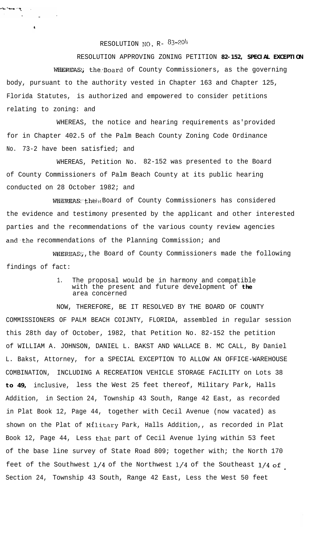## RESOLUTION NO. R- 83-204

أيكف المسمور المؤس

RESOLUTION APPROVING ZONING PETITION **82-152, SPECIAL EXCEPTION** WHEREAS; the Board of County Commissioners, as the governing body, pursuant to the authority vested in Chapter 163 and Chapter 125, Florida Statutes, is authorized and empowered to consider petitions relating to zoning: and

WHEREAS, the notice and hearing requirements as'provided for in Chapter 402.5 of the Palm Beach County Zoning Code Ordinance No. 73-2 have been satisfied; and

WHEREAS, Petition No. 82-152 was presented to the Board of County Commissioners of Palm Beach County at its public hearing conducted on 28 October 1982; and

WHEREAS: the x Board of County Commissioners has considered the evidence and testimony presented by the applicant and other interested parties and the recommendations of the various county review agencies and the recommendations of the Planning Commission; and

WHEREAS:, the Board of County Commissioners made the following findings of fact:

> 1. The proposal would be in harmony and compatible with the present and future development of **the** area concerned

NOW, THEREFORE, BE IT RESOLVED BY THE BOARD OF COUNTY COMMISSIONERS OF PALM BEACH COIJNTY, FLORIDA, assembled in regular session this 28th day of October, 1982, that Petition No. 82-152 the petition of WILLIAM A. JOHNSON, DANIEL L. BAKST AND WALLACE B. MC CALL, By Daniel L. Bakst, Attorney, for a SPECIAL EXCEPTION TO ALLOW AN OFFICE-WAREHOUSE COMBINATION, INCLUDING A RECREATION VEHICLE STORAGE FACILITY on Lots 38 **to 49,** inclusive, less the West 25 feet thereof, Military Park, Halls Addition, in Section 24, Township 43 South, Range 42 East, as recorded in Plat Book 12, Page 44, together with Cecil Avenue (now vacated) as shown on the Plat of Military Park, Halls Addition,, as recorded in Plat Book 12, Page 44, Less that part of Cecil Avenue lying within 53 feet of the base line survey of State Road 809; together with; the North 170 feet of the Southwest  $1/4$  of the Northwest  $1/4$  of the Southeast  $1/4$  of Section 24, Township 43 South, Range 42 East, Less the West 50 feet